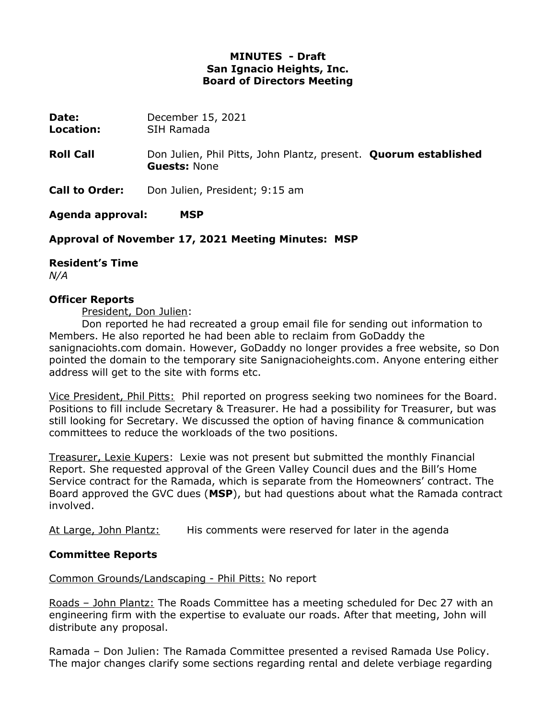# **MINUTES - Draft San Ignacio Heights, Inc. Board of Directors Meeting**

| <b>Date:</b>     | December 15, 2021 |
|------------------|-------------------|
| <b>Location:</b> | SIH Ramada        |

- **Roll Call** Don Julien, Phil Pitts, John Plantz, present. **Quorum established Guests:** None
- **Call to Order:** Don Julien, President; 9:15 am

**Agenda approval: MSP**

## **Approval of November 17, 2021 Meeting Minutes: MSP**

## **Resident's Time**

*N/A*

#### **Officer Reports**

President, Don Julien:

Don reported he had recreated a group email file for sending out information to Members. He also reported he had been able to reclaim from GoDaddy the sanignaciohts.com domain. However, GoDaddy no longer provides a free website, so Don pointed the domain to the temporary site Sanignacioheights.com. Anyone entering either address will get to the site with forms etc.

Vice President, Phil Pitts: Phil reported on progress seeking two nominees for the Board. Positions to fill include Secretary & Treasurer. He had a possibility for Treasurer, but was still looking for Secretary. We discussed the option of having finance & communication committees to reduce the workloads of the two positions.

Treasurer, Lexie Kupers: Lexie was not present but submitted the monthly Financial Report. She requested approval of the Green Valley Council dues and the Bill's Home Service contract for the Ramada, which is separate from the Homeowners' contract. The Board approved the GVC dues (**MSP**), but had questions about what the Ramada contract involved.

At Large, John Plantz: His comments were reserved for later in the agenda

## **Committee Reports**

Common Grounds/Landscaping - Phil Pitts: No report

Roads – John Plantz: The Roads Committee has a meeting scheduled for Dec 27 with an engineering firm with the expertise to evaluate our roads. After that meeting, John will distribute any proposal.

Ramada – Don Julien: The Ramada Committee presented a revised Ramada Use Policy. The major changes clarify some sections regarding rental and delete verbiage regarding